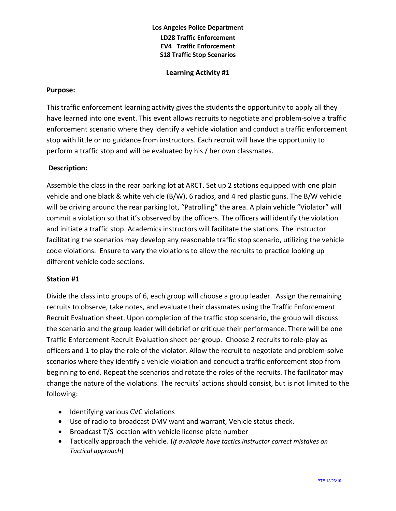# **Los Angeles Police Department LD28 Traffic Enforcement EV4 Traffic Enforcement S18 Traffic Stop Scenarios**

**Learning Activity #1**

#### **Purpose:**

This traffic enforcement learning activity gives the students the opportunity to apply all they have learned into one event. This event allows recruits to negotiate and problem-solve a traffic enforcement scenario where they identify a vehicle violation and conduct a traffic enforcement stop with little or no guidance from instructors. Each recruit will have the opportunity to perform a traffic stop and will be evaluated by his / her own classmates.

### **Description:**

Assemble the class in the rear parking lot at ARCT. Set up 2 stations equipped with one plain vehicle and one black & white vehicle (B/W), 6 radios, and 4 red plastic guns. The B/W vehicle will be driving around the rear parking lot, "Patrolling" the area. A plain vehicle "Violator" will commit a violation so that it's observed by the officers. The officers will identify the violation and initiate a traffic stop. Academics instructors will facilitate the stations. The instructor facilitating the scenarios may develop any reasonable traffic stop scenario, utilizing the vehicle code violations. Ensure to vary the violations to allow the recruits to practice looking up different vehicle code sections.

#### **Station #1**

Divide the class into groups of 6, each group will choose a group leader. Assign the remaining recruits to observe, take notes, and evaluate their classmates using the Traffic Enforcement Recruit Evaluation sheet. Upon completion of the traffic stop scenario, the group will discuss the scenario and the group leader will debrief or critique their performance. There will be one Traffic Enforcement Recruit Evaluation sheet per group. Choose 2 recruits to role-play as officers and 1 to play the role of the violator. Allow the recruit to negotiate and problem-solve scenarios where they identify a vehicle violation and conduct a traffic enforcement stop from beginning to end. Repeat the scenarios and rotate the roles of the recruits. The facilitator may change the nature of the violations. The recruits' actions should consist, but is not limited to the following:

- Identifying various CVC violations
- Use of radio to broadcast DMV want and warrant, Vehicle status check.
- Broadcast T/S location with vehicle license plate number
- Tactically approach the vehicle. (*If available have tactics instructor correct mistakes on Tactical approach*)